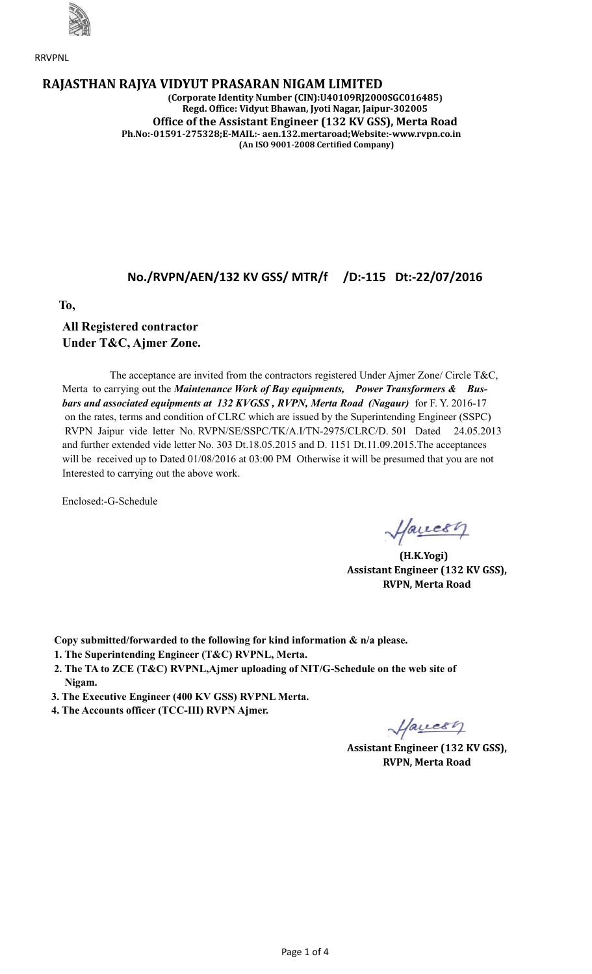

RRVPNL

### **RAJASTHAN RAJYA VIDYUT PRASARAN NIGAM LIMITED**

**(Corporate Identity Number (CIN):U40109RJ2000SGC016485) Regd. Office: Vidyut Bhawan, Jyoti Nagar, Jaipur-302005 Office of the Assistant Engineer (132 KV GSS), Merta Road Ph.No:-01591-275328;E-MAIL:- aen.132.mertaroad;Website:-www.rvpn.co.in (An ISO 9001-2008 Certified Company)**

## **No./RVPN/AEN/132 KV GSS/ MTR/f /D:-115 Dt:-22/07/2016**

 **To,**

## **All Registered contractor Under T&C, Ajmer Zone.**

 The acceptance are invited from the contractors registered Under Ajmer Zone/ Circle T&C, Merta to carrying out the *Maintenance Work of Bay equipments, Power Transformers & Busbars and associated equipments at 132 KVGSS , RVPN, Merta Road (Nagaur)* for F. Y. 2016-17 on the rates, terms and condition of CLRC which are issued by the Superintending Engineer (SSPC) RVPN Jaipur vide letter No. RVPN/SE/SSPC/TK/A.I/TN-2975/CLRC/D. 501 Dated 24.05.2013 and further extended vide letter No. 303 Dt.18.05.2015 and D. 1151 Dt.11.09.2015.The acceptances will be received up to Dated 01/08/2016 at 03:00 PM Otherwise it will be presumed that you are not Interested to carrying out the above work.

Enclosed:-G-Schedule

Havesy

 **(H.K.Yogi) Assistant Engineer (132 KV GSS), RVPN, Merta Road**

 **Copy submitted/forwarded to the following for kind information & n/a please.**

- **1. The Superintending Engineer (T&C) RVPNL, Merta.**
- **2. The TA to ZCE (T&C) RVPNL,Ajmer uploading of NIT/G-Schedule on the web site of Nigam.**
- **3. The Executive Engineer (400 KV GSS) RVPNL Merta.**
- **4. The Accounts officer (TCC-III) RVPN Ajmer.**

Havesy

 **Assistant Engineer (132 KV GSS), RVPN, Merta Road**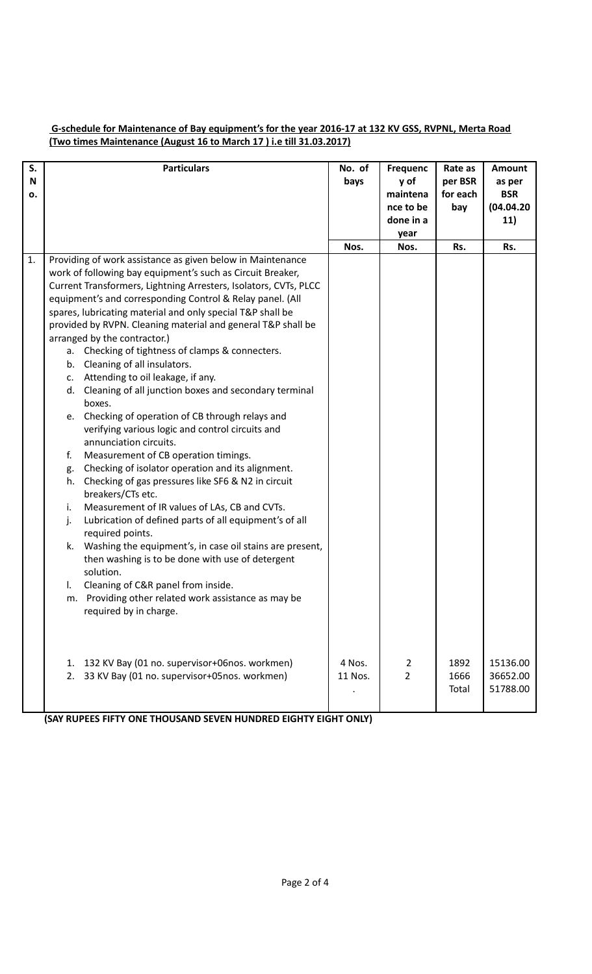### **G-schedule for Maintenance of Bay equipment's for the year 2016-17 at 132 KV GSS, RVPNL, Merta Road (Two times Maintenance (August 16 to March 17 ) i.e till 31.03.2017)**

| S.<br>N<br>ο. | <b>Particulars</b>                                                                                                                                                                                                                                                                                                                                                                                                                                                                                                                                                                                                                                                                                                                                                                                                                                                                                                                                                                                                                                                                                                                                                                                                                                                                                                                                                      | No. of<br>bays    | <b>Frequenc</b><br>y of<br>maintena<br>nce to be<br>done in a | Rate as<br>per BSR<br>for each<br>bay | <b>Amount</b><br>as per<br><b>BSR</b><br>(04.04.20)<br>11) |
|---------------|-------------------------------------------------------------------------------------------------------------------------------------------------------------------------------------------------------------------------------------------------------------------------------------------------------------------------------------------------------------------------------------------------------------------------------------------------------------------------------------------------------------------------------------------------------------------------------------------------------------------------------------------------------------------------------------------------------------------------------------------------------------------------------------------------------------------------------------------------------------------------------------------------------------------------------------------------------------------------------------------------------------------------------------------------------------------------------------------------------------------------------------------------------------------------------------------------------------------------------------------------------------------------------------------------------------------------------------------------------------------------|-------------------|---------------------------------------------------------------|---------------------------------------|------------------------------------------------------------|
|               |                                                                                                                                                                                                                                                                                                                                                                                                                                                                                                                                                                                                                                                                                                                                                                                                                                                                                                                                                                                                                                                                                                                                                                                                                                                                                                                                                                         | Nos.              | year<br>Nos.                                                  | Rs.                                   | Rs.                                                        |
| 1.            | Providing of work assistance as given below in Maintenance<br>work of following bay equipment's such as Circuit Breaker,<br>Current Transformers, Lightning Arresters, Isolators, CVTs, PLCC<br>equipment's and corresponding Control & Relay panel. (All<br>spares, lubricating material and only special T&P shall be<br>provided by RVPN. Cleaning material and general T&P shall be<br>arranged by the contractor.)<br>a. Checking of tightness of clamps & connecters.<br>b. Cleaning of all insulators.<br>c. Attending to oil leakage, if any.<br>d. Cleaning of all junction boxes and secondary terminal<br>boxes.<br>Checking of operation of CB through relays and<br>e.<br>verifying various logic and control circuits and<br>annunciation circuits.<br>Measurement of CB operation timings.<br>f.<br>Checking of isolator operation and its alignment.<br>g.<br>Checking of gas pressures like SF6 & N2 in circuit<br>h.<br>breakers/CTs etc.<br>Measurement of IR values of LAs, CB and CVTs.<br>i.<br>Lubrication of defined parts of all equipment's of all<br>j.<br>required points.<br>Washing the equipment's, in case oil stains are present,<br>k.<br>then washing is to be done with use of detergent<br>solution.<br>Cleaning of C&R panel from inside.<br>I.<br>m. Providing other related work assistance as may be<br>required by in charge. |                   |                                                               |                                       |                                                            |
|               | 132 KV Bay (01 no. supervisor+06nos. workmen)<br>1.<br>33 KV Bay (01 no. supervisor+05nos. workmen)<br>2.                                                                                                                                                                                                                                                                                                                                                                                                                                                                                                                                                                                                                                                                                                                                                                                                                                                                                                                                                                                                                                                                                                                                                                                                                                                               | 4 Nos.<br>11 Nos. | 2<br>$\overline{2}$                                           | 1892<br>1666<br>Total                 | 15136.00<br>36652.00<br>51788.00                           |

 **(SAY RUPEES FIFTY ONE THOUSAND SEVEN HUNDRED EIGHTY EIGHT ONLY)**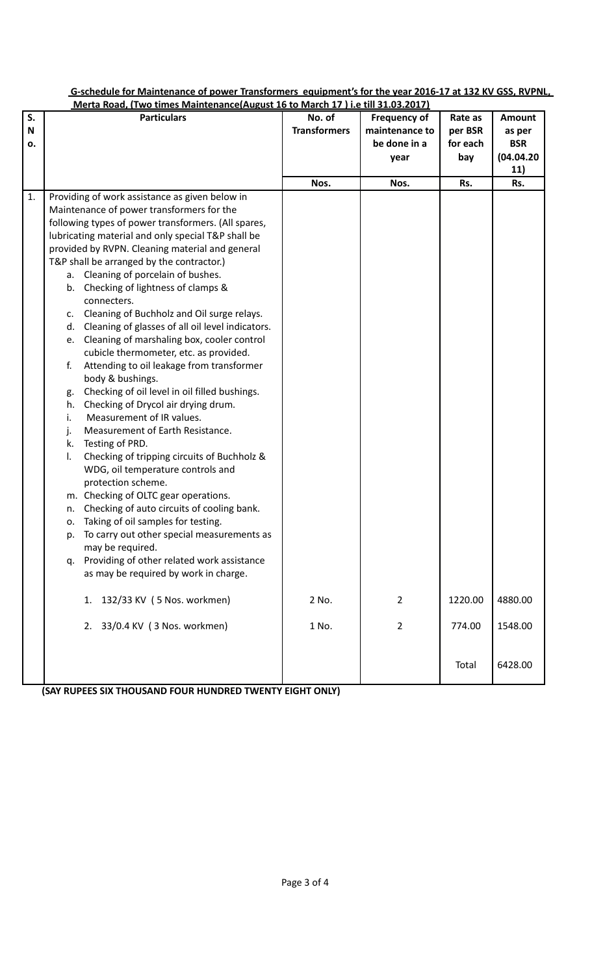|    | Merta Road, (Two times Maintenance(August 16 to March 17) i.e till 31.03.2017) |                     |                     |          |               |  |  |  |
|----|--------------------------------------------------------------------------------|---------------------|---------------------|----------|---------------|--|--|--|
| S. | <b>Particulars</b>                                                             | No. of              | <b>Frequency of</b> | Rate as  | <b>Amount</b> |  |  |  |
| N  |                                                                                | <b>Transformers</b> | maintenance to      | per BSR  | as per        |  |  |  |
| о. |                                                                                |                     | be done in a        | for each | <b>BSR</b>    |  |  |  |
|    |                                                                                |                     | year                | bay      | (04.04.20)    |  |  |  |
|    |                                                                                |                     |                     |          | 11)           |  |  |  |
|    |                                                                                | Nos.                | Nos.                | Rs.      | Rs.           |  |  |  |
| 1. | Providing of work assistance as given below in                                 |                     |                     |          |               |  |  |  |
|    | Maintenance of power transformers for the                                      |                     |                     |          |               |  |  |  |
|    | following types of power transformers. (All spares,                            |                     |                     |          |               |  |  |  |
|    | lubricating material and only special T&P shall be                             |                     |                     |          |               |  |  |  |
|    | provided by RVPN. Cleaning material and general                                |                     |                     |          |               |  |  |  |
|    | T&P shall be arranged by the contractor.)                                      |                     |                     |          |               |  |  |  |
|    | a. Cleaning of porcelain of bushes.                                            |                     |                     |          |               |  |  |  |
|    | Checking of lightness of clamps &<br>b.                                        |                     |                     |          |               |  |  |  |
|    | connecters.                                                                    |                     |                     |          |               |  |  |  |
|    | Cleaning of Buchholz and Oil surge relays.<br>c.                               |                     |                     |          |               |  |  |  |
|    | Cleaning of glasses of all oil level indicators.<br>d.                         |                     |                     |          |               |  |  |  |
|    | Cleaning of marshaling box, cooler control<br>e.                               |                     |                     |          |               |  |  |  |
|    | cubicle thermometer, etc. as provided.                                         |                     |                     |          |               |  |  |  |
|    | f.<br>Attending to oil leakage from transformer                                |                     |                     |          |               |  |  |  |
|    | body & bushings.                                                               |                     |                     |          |               |  |  |  |
|    | Checking of oil level in oil filled bushings.<br>g.                            |                     |                     |          |               |  |  |  |
|    | Checking of Drycol air drying drum.<br>h.                                      |                     |                     |          |               |  |  |  |
|    | Measurement of IR values.<br>i.                                                |                     |                     |          |               |  |  |  |
|    | Measurement of Earth Resistance.<br>j.                                         |                     |                     |          |               |  |  |  |
|    | Testing of PRD.<br>k.                                                          |                     |                     |          |               |  |  |  |
|    | Checking of tripping circuits of Buchholz &<br>I.                              |                     |                     |          |               |  |  |  |
|    | WDG, oil temperature controls and                                              |                     |                     |          |               |  |  |  |
|    | protection scheme.                                                             |                     |                     |          |               |  |  |  |
|    | m. Checking of OLTC gear operations.                                           |                     |                     |          |               |  |  |  |
|    | Checking of auto circuits of cooling bank.<br>n.                               |                     |                     |          |               |  |  |  |
|    | o. Taking of oil samples for testing.                                          |                     |                     |          |               |  |  |  |
|    | To carry out other special measurements as<br>p.                               |                     |                     |          |               |  |  |  |
|    | may be required.                                                               |                     |                     |          |               |  |  |  |
|    | Providing of other related work assistance<br>q.                               |                     |                     |          |               |  |  |  |
|    | as may be required by work in charge.                                          |                     |                     |          |               |  |  |  |
|    | 1. 132/33 KV (5 Nos. workmen)                                                  | 2 No.               | 2                   | 1220.00  | 4880.00       |  |  |  |
|    | 2. 33/0.4 KV (3 Nos. workmen)                                                  | 1 No.               | $\overline{2}$      | 774.00   | 1548.00       |  |  |  |
|    |                                                                                |                     |                     | Total    | 6428.00       |  |  |  |

# **G-schedule for Maintenance of power Transformers equipment's for the year 2016-17 at 132 KV GSS, RVPNL,**

 **(SAY RUPEES SIX THOUSAND FOUR HUNDRED TWENTY EIGHT ONLY)**